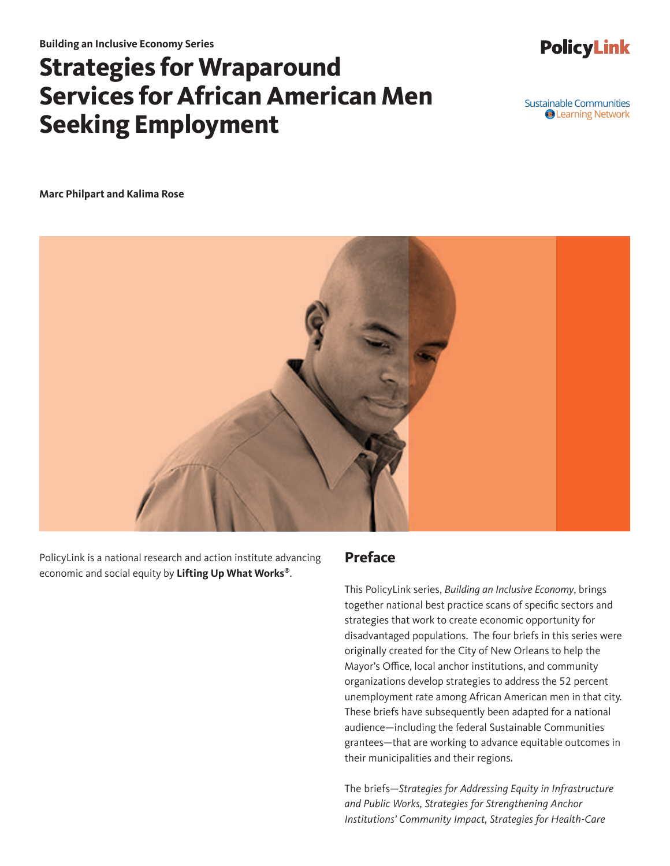# **Strategies for Wraparound Services for African American Men Seeking Employment**

Sustainable Communities **O** Learning Network

**PolicyLink** 

**Marc Philpart and Kalima Rose**



PolicyLink is a national research and action institute advancing economic and social equity by **Lifting Up What Works®**.

### **Preface**

This PolicyLink series, *Building an Inclusive Economy*, brings together national best practice scans of specific sectors and strategies that work to create economic opportunity for disadvantaged populations. The four briefs in this series were originally created for the City of New Orleans to help the Mayor's Office, local anchor institutions, and community organizations develop strategies to address the 52 percent unemployment rate among African American men in that city. These briefs have subsequently been adapted for a national audience—including the federal Sustainable Communities grantees—that are working to advance equitable outcomes in their municipalities and their regions.

The briefs—*Strategies for Addressing Equity in Infrastructure and Public Works, Strategies for Strengthening Anchor Institutions' Community Impact, Strategies for Health-Care*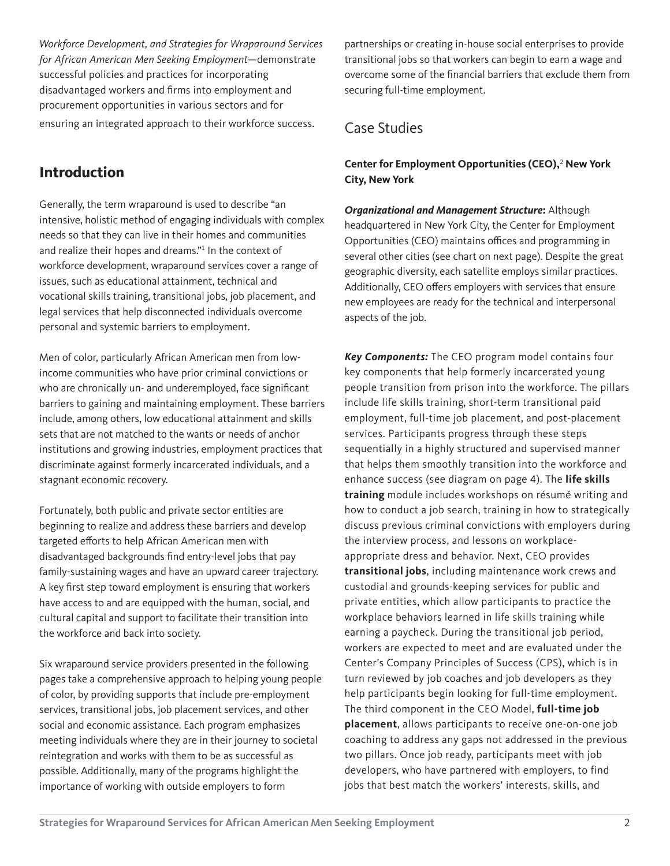*Workforce Development, and Strategies for Wraparound Services for African American Men Seeking Employment*—demonstrate successful policies and practices for incorporating disadvantaged workers and firms into employment and procurement opportunities in various sectors and for ensuring an integrated approach to their workforce success.

### **Introduction**

Generally, the term wraparound is used to describe "an intensive, holistic method of engaging individuals with complex needs so that they can live in their homes and communities and realize their hopes and dreams."<sup>1</sup> In the context of workforce development, wraparound services cover a range of issues, such as educational attainment, technical and vocational skills training, transitional jobs, job placement, and legal services that help disconnected individuals overcome personal and systemic barriers to employment.

Men of color, particularly African American men from lowincome communities who have prior criminal convictions or who are chronically un- and underemployed, face significant barriers to gaining and maintaining employment. These barriers include, among others, low educational attainment and skills sets that are not matched to the wants or needs of anchor institutions and growing industries, employment practices that discriminate against formerly incarcerated individuals, and a stagnant economic recovery.

Fortunately, both public and private sector entities are beginning to realize and address these barriers and develop targeted efforts to help African American men with disadvantaged backgrounds find entry-level jobs that pay family-sustaining wages and have an upward career trajectory. A key first step toward employment is ensuring that workers have access to and are equipped with the human, social, and cultural capital and support to facilitate their transition into the workforce and back into society.

Six wraparound service providers presented in the following pages take a comprehensive approach to helping young people of color, by providing supports that include pre-employment services, transitional jobs, job placement services, and other social and economic assistance. Each program emphasizes meeting individuals where they are in their journey to societal reintegration and works with them to be as successful as possible. Additionally, many of the programs highlight the importance of working with outside employers to form

partnerships or creating in-house social enterprises to provide transitional jobs so that workers can begin to earn a wage and overcome some of the financial barriers that exclude them from securing full-time employment.

### Case Studies

#### **Center for Employment Opportunities (CEO),**<sup>2</sup>  **New York City, New York**

*Organizational and Management Structure***:** Although headquartered in New York City, the Center for Employment Opportunities (CEO) maintains offices and programming in several other cities (see chart on next page). Despite the great geographic diversity, each satellite employs similar practices. Additionally, CEO offers employers with services that ensure new employees are ready for the technical and interpersonal aspects of the job.

*Key Components:* The CEO program model contains four key components that help formerly incarcerated young people transition from prison into the workforce. The pillars include life skills training, short-term transitional paid employment, full-time job placement, and post-placement services. Participants progress through these steps sequentially in a highly structured and supervised manner that helps them smoothly transition into the workforce and enhance success (see diagram on page 4). The **life skills training** module includes workshops on résumé writing and how to conduct a job search, training in how to strategically discuss previous criminal convictions with employers during the interview process, and lessons on workplaceappropriate dress and behavior. Next, CEO provides **transitional jobs**, including maintenance work crews and custodial and grounds-keeping services for public and private entities, which allow participants to practice the workplace behaviors learned in life skills training while earning a paycheck. During the transitional job period, workers are expected to meet and are evaluated under the Center's Company Principles of Success (CPS), which is in turn reviewed by job coaches and job developers as they help participants begin looking for full-time employment. The third component in the CEO Model, **full-time job placement**, allows participants to receive one-on-one job coaching to address any gaps not addressed in the previous two pillars. Once job ready, participants meet with job developers, who have partnered with employers, to find jobs that best match the workers' interests, skills, and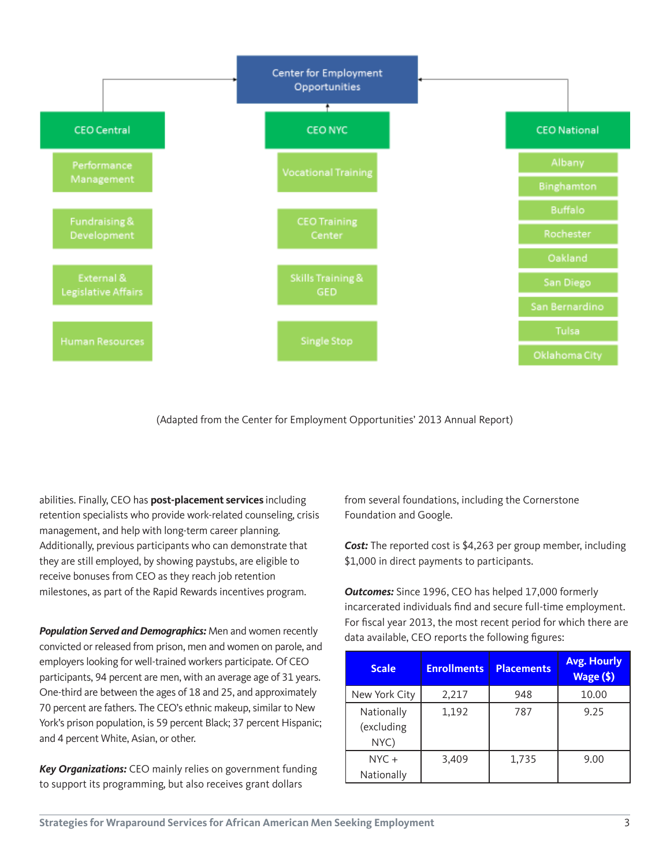

(Adapted from the Center for Employment Opportunities' 2013 Annual Report)

abilities. Finally, CEO has **post-placement services** including retention specialists who provide work-related counseling, crisis management, and help with long-term career planning. Additionally, previous participants who can demonstrate that they are still employed, by showing paystubs, are eligible to receive bonuses from CEO as they reach job retention milestones, as part of the Rapid Rewards incentives program.

*Population Served and Demographics:* Men and women recently convicted or released from prison, men and women on parole, and employers looking for well-trained workers participate. Of CEO participants, 94 percent are men, with an average age of 31 years. One-third are between the ages of 18 and 25, and approximately 70 percent are fathers. The CEO's ethnic makeup, similar to New York's prison population, is 59 percent Black; 37 percent Hispanic; and 4 percent White, Asian, or other.

*Key Organizations:* CEO mainly relies on government funding to support its programming, but also receives grant dollars

from several foundations, including the Cornerstone Foundation and Google.

*Cost:* The reported cost is \$4,263 per group member, including \$1,000 in direct payments to participants.

*Outcomes:* Since 1996, CEO has helped 17,000 formerly incarcerated individuals find and secure full-time employment. For fiscal year 2013, the most recent period for which there are data available, CEO reports the following figures:

| <b>Scale</b>                     | <b>Enrollments</b> | <b>Placements</b> | <b>Avg. Hourly</b><br>Wage (\$) |
|----------------------------------|--------------------|-------------------|---------------------------------|
| New York City                    | 2,217              | 948               | 10.00                           |
| Nationally<br>(excluding<br>NYC) | 1,192              | 787               | 9.25                            |
| $NYC +$<br>Nationally            | 3,409              | 1,735             | 9.00                            |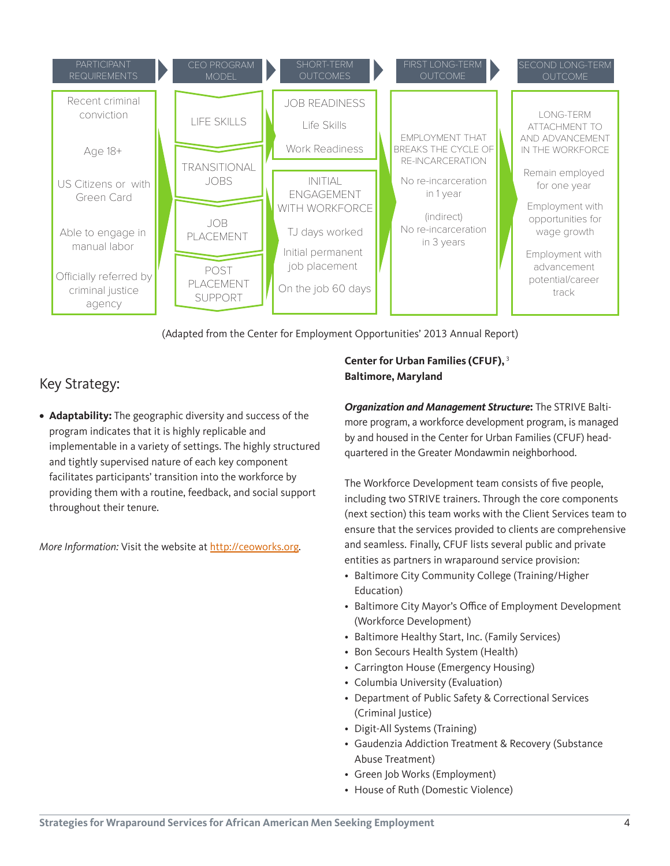

(Adapted from the Center for Employment Opportunities' 2013 Annual Report)

### Key Strategy:

**• Adaptability:** The geographic diversity and success of the program indicates that it is highly replicable and implementable in a variety of settings. The highly structured and tightly supervised nature of each key component facilitates participants' transition into the workforce by providing them with a routine, feedback, and social support throughout their tenure.

*More Information:* Visit the website at <http://ceoworks.org>.

#### **Center for Urban Families (CFUF),**<sup>3</sup> **Baltimore, Maryland**

*Organization and Management Structure***:** The STRIVE Baltimore program, a workforce development program, is managed by and housed in the Center for Urban Families (CFUF) headquartered in the Greater Mondawmin neighborhood.

The Workforce Development team consists of five people, including two STRIVE trainers. Through the core components (next section) this team works with the Client Services team to ensure that the services provided to clients are comprehensive and seamless. Finally, CFUF lists several public and private entities as partners in wraparound service provision:

- [Baltimore City Community College \(Training/Higher](http://www.bccc.edu/site/default.aspx?PageID=1)  [Education\)](http://www.bccc.edu/site/default.aspx?PageID=1)
- [Baltimore City Mayor's Office of Employment Development](http://www.oedworks.com/)  [\(Workforce Development\)](http://www.oedworks.com/)
- [Baltimore Healthy Start, Inc. \(Family Services\)](http://www.baltimorehealthystart.org/)
- [Bon Secours Health System \(Health\)](http://www.bshsi.com/)
- [Carrington House \(Emergency Housing\)](http://www.jhrbaltimore.org/carrington.htm)
- [Columbia University \(Evaluation\)](http://socialwork.columbia.edu/)
- [Department of Public Safety & Correctional Services](http://www.dpscs.state.md.us/)  [\(Criminal Justice\)](http://www.dpscs.state.md.us/)
- [Digit-All Systems \(Training\)](http://www.digitallsystems.org/)
- [Gaudenzia Addiction Treatment & Recovery \(Substance](http://www.gaudenzia.org/programs.php)  [Abuse Treatment\)](http://www.gaudenzia.org/programs.php)
- [Green Job Works \(Employment\)](http://green-jobworks.com/)
- [House of Ruth \(Domestic Violence\)](http://www.hruth.org/abuser-intervention.asp)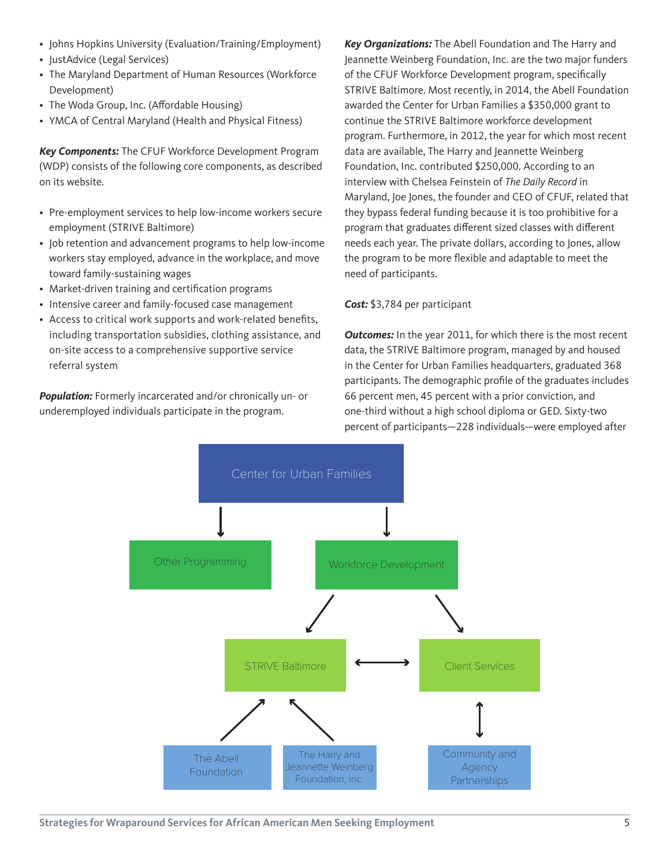- [Johns Hopkins University \(Evaluation/Training/Employment\)](http://jhu.edu/)
- [JustAdvice \(Legal Services\)](http://justadvice.wordpress.com/)
- [The Maryland Department of Human Resources \(Workforce](http://www.dhr.maryland.gov/blog/)  [Development\)](http://www.dhr.maryland.gov/blog/)
- [The Woda Group, Inc. \(Affordable Housing\)](http://www.wodagroup.com/)
- [YMCA of Central Maryland \(Health and Physical Fitness\)](http://ymaryland.org/)

*Key Components:* The CFUF Workforce Development Program (WDP) consists of the following core components, as described on its website.

- Pre-employment services to help low-income workers secure employment (STRIVE Baltimore)
- Job retention and advancement programs to help low-income workers stay employed, advance in the workplace, and move toward family-sustaining wages
- Market-driven training and certification programs
- Intensive career and family-focused case management
- Access to critical work supports and work-related benefits, including transportation subsidies, clothing assistance, and on-site access to a comprehensive supportive service referral system

**Population:** Formerly incarcerated and/or chronically un- or underemployed individuals participate in the program.

*Key Organizations:* The Abell Foundation and The Harry and Jeannette Weinberg Foundation, Inc. are the two major funders of the CFUF Workforce Development program, specifically STRIVE Baltimore. Most recently, in 2014, the Abell Foundation awarded the Center for Urban Families a \$350,000 grant to continue the STRIVE Baltimore workforce development program. Furthermore, in 2012, the year for which most recent data are available, The Harry and Jeannette Weinberg Foundation, Inc. contributed \$250,000. According to an interview with Chelsea Feinstein of *The Daily Record* in Maryland, Joe Jones, the founder and CEO of CFUF, related that they bypass federal funding because it is too prohibitive for a program that graduates different sized classes with different needs each year. The private dollars, according to Jones, allow the program to be more flexible and adaptable to meet the need of participants.

#### *Cost:* \$3,784 per participant

**Outcomes:** In the year 2011, for which there is the most recent data, the STRIVE Baltimore program, managed by and housed in the Center for Urban Families headquarters, graduated 368 participants. The demographic profile of the graduates includes 66 percent men, 45 percent with a prior conviction, and one-third without a high school diploma or GED. Sixty-two percent of participants—228 individuals—were employed after

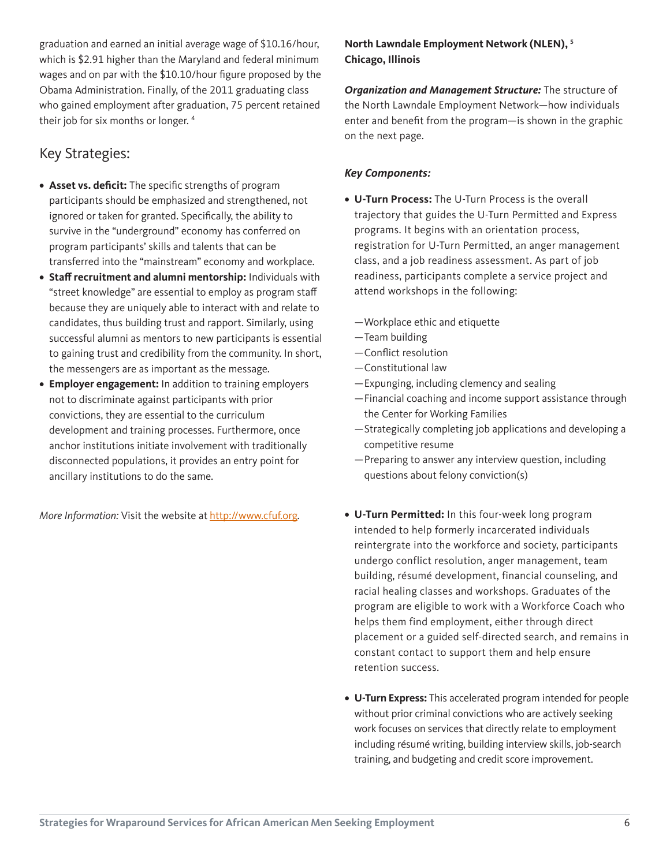graduation and earned an initial average wage of \$10.16/hour, which is \$2.91 higher than the Maryland and federal minimum wages and on par with the \$10.10/hour figure proposed by the Obama Administration. Finally, of the 2011 graduating class who gained employment after graduation, 75 percent retained their job for six months or longer.<sup>4</sup>

### Key Strategies:

- **• Asset vs. deficit:** The specific strengths of program participants should be emphasized and strengthened, not ignored or taken for granted. Specifically, the ability to survive in the "underground" economy has conferred on program participants' skills and talents that can be transferred into the "mainstream" economy and workplace.
- **• Staff recruitment and alumni mentorship:** Individuals with "street knowledge" are essential to employ as program staff because they are uniquely able to interact with and relate to candidates, thus building trust and rapport. Similarly, using successful alumni as mentors to new participants is essential to gaining trust and credibility from the community. In short, the messengers are as important as the message.
- **• Employer engagement:** In addition to training employers not to discriminate against participants with prior convictions, they are essential to the curriculum development and training processes. Furthermore, once anchor institutions initiate involvement with traditionally disconnected populations, it provides an entry point for ancillary institutions to do the same.

*More Information:* Visit the website at http://www.cfuf.org.

### **North Lawndale Employment Network (NLEN), 5 Chicago, Illinois**

*Organization and Management Structure:* The structure of the North Lawndale Employment Network—how individuals enter and benefit from the program—is shown in the graphic on the next page.

#### *Key Components:*

- **• U-Turn Process:** The U-Turn Process is the overall trajectory that guides the U-Turn Permitted and Express programs. It begins with an orientation process, registration for U-Turn Permitted, an anger management class, and a job readiness assessment. As part of job readiness, participants complete a service project and attend workshops in the following:
	- —Workplace ethic and etiquette
	- —Team building
	- —Conflict resolution
	- —Constitutional law
	- —Expunging, including clemency and sealing
	- —Financial coaching and income support assistance through the Center for Working Families
	- —Strategically completing job applications and developing a competitive resume
	- —Preparing to answer any interview question, including questions about felony conviction(s)
- **• U-Turn Permitted:** In this four-week long program intended to help formerly incarcerated individuals reintergrate into the workforce and society, participants undergo conflict resolution, anger management, team building, résumé development, financial counseling, and racial healing classes and workshops. Graduates of the program are eligible to work with a Workforce Coach who helps them find employment, either through direct placement or a guided self-directed search, and remains in constant contact to support them and help ensure retention success.
- **• U-Turn Express:** This accelerated program intended for people without prior criminal convictions who are actively seeking work focuses on services that directly relate to employment including résumé writing, building interview skills, job-search training, and budgeting and credit score improvement.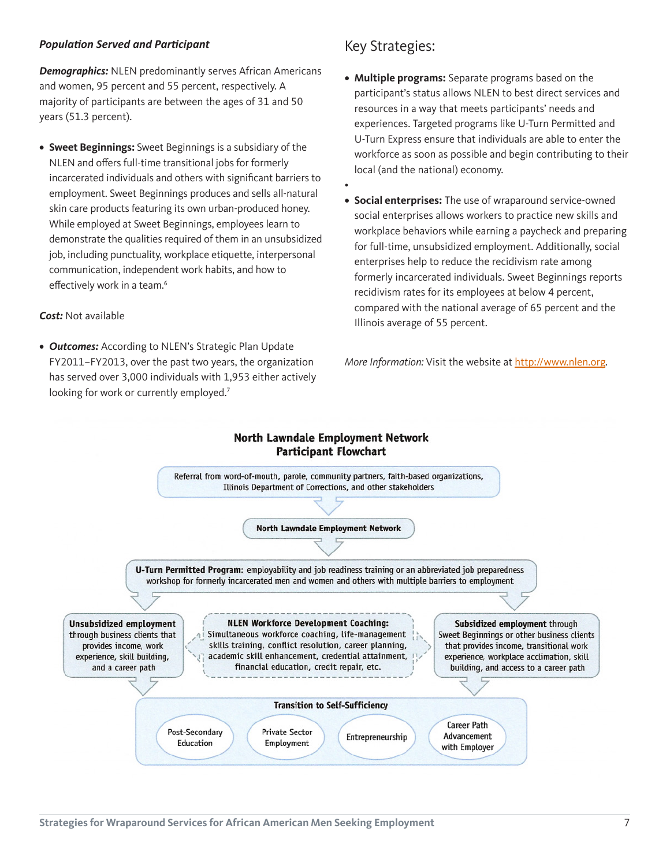#### *Population Served and Participant*

*Demographics:* NLEN predominantly serves African Americans and women, 95 percent and 55 percent, respectively. A majority of participants are between the ages of 31 and 50 years (51.3 percent).

**• Sweet Beginnings:** Sweet Beginnings is a subsidiary of the NLEN and offers full-time transitional jobs for formerly incarcerated individuals and others with significant barriers to employment. Sweet Beginnings produces and sells all-natural skin care products featuring its own urban-produced honey. While employed at Sweet Beginnings, employees learn to demonstrate the qualities required of them in an unsubsidized job, including punctuality, workplace etiquette, interpersonal communication, independent work habits, and how to effectively work in a team.<sup>6</sup>

#### *Cost:* Not available

*• Outcomes:* According to NLEN's Strategic Plan Update FY2011–FY2013, over the past two years, the organization has served over 3,000 individuals with 1,953 either actively looking for work or currently employed.<sup>7</sup>

### Key Strategies:

•

- **• Multiple programs:** Separate programs based on the participant's status allows NLEN to best direct services and resources in a way that meets participants' needs and experiences. Targeted programs like U-Turn Permitted and U-Turn Express ensure that individuals are able to enter the workforce as soon as possible and begin contributing to their local (and the national) economy.
- **• Social enterprises:** The use of wraparound service-owned social enterprises allows workers to practice new skills and workplace behaviors while earning a paycheck and preparing for full-time, unsubsidized employment. Additionally, social enterprises help to reduce the recidivism rate among formerly incarcerated individuals. Sweet Beginnings reports recidivism rates for its employees at below 4 percent, compared with the national average of 65 percent and the Illinois average of 55 percent.

*More Information:* Visit the website at <http://www.nlen.org>.

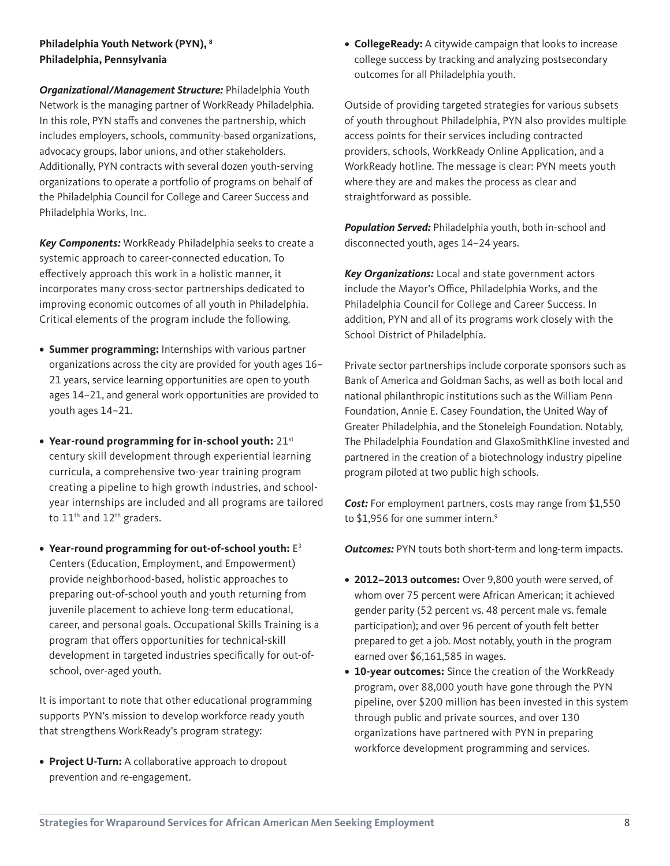#### **Philadelphia Youth Network (PYN), 8 Philadelphia, Pennsylvania**

*Organizational/Management Structure:* Philadelphia Youth Network is the managing partner of WorkReady Philadelphia. In this role, PYN staffs and convenes the partnership, which includes employers, schools, community-based organizations, advocacy groups, labor unions, and other stakeholders. Additionally, PYN contracts with several dozen youth-serving organizations to operate a portfolio of programs on behalf of the Philadelphia Council for College and Career Success and Philadelphia Works, Inc.

*Key Components:* WorkReady Philadelphia seeks to create a systemic approach to career-connected education. To effectively approach this work in a holistic manner, it incorporates many cross-sector partnerships dedicated to improving economic outcomes of all youth in Philadelphia. Critical elements of the program include the following.

- **• Summer programming:** Internships with various partner organizations across the city are provided for youth ages 16– 21 years, service learning opportunities are open to youth ages 14–21, and general work opportunities are provided to youth ages 14–21.
- **• Year-round programming for in-school youth:** 21st century skill development through experiential learning curricula, a comprehensive two-year training program creating a pipeline to high growth industries, and schoolyear internships are included and all programs are tailored to 11<sup>th</sup> and 12<sup>th</sup> graders.
- **• Year-round programming for out-of-school youth:** E3 Centers (Education, Employment, and Empowerment) provide neighborhood-based, holistic approaches to preparing out-of-school youth and youth returning from juvenile placement to achieve long-term educational, career, and personal goals. Occupational Skills Training is a program that offers opportunities for technical-skill development in targeted industries specifically for out-ofschool, over-aged youth.

It is important to note that other educational programming supports PYN's mission to develop workforce ready youth that strengthens WorkReady's program strategy:

**• Project U-Turn:** A collaborative approach to dropout prevention and re-engagement.

**• CollegeReady:** A citywide campaign that looks to increase college success by tracking and analyzing postsecondary outcomes for all Philadelphia youth.

Outside of providing targeted strategies for various subsets of youth throughout Philadelphia, PYN also provides multiple access points for their services including contracted providers, schools, WorkReady Online Application, and a WorkReady hotline. The message is clear: PYN meets youth where they are and makes the process as clear and straightforward as possible.

*Population Served:* Philadelphia youth, both in-school and disconnected youth, ages 14–24 years.

*Key Organizations:* Local and state government actors include the Mayor's Office, Philadelphia Works, and the Philadelphia Council for College and Career Success. In addition, PYN and all of its programs work closely with the School District of Philadelphia.

Private sector partnerships include corporate sponsors such as Bank of America and Goldman Sachs, as well as both local and national philanthropic institutions such as the William Penn Foundation, Annie E. Casey Foundation, the United Way of Greater Philadelphia, and the Stoneleigh Foundation. Notably, The Philadelphia Foundation and GlaxoSmithKline invested and partnered in the creation of a biotechnology industry pipeline program piloted at two public high schools.

*Cost:* For employment partners, costs may range from \$1,550 to \$1,956 for one summer intern.<sup>9</sup>

*Outcomes:* PYN touts both short-term and long-term impacts.

- **• 2012–2013 outcomes:** Over 9,800 youth were served, of whom over 75 percent were African American; it achieved gender parity (52 percent vs. 48 percent male vs. female participation); and over 96 percent of youth felt better prepared to get a job. Most notably, youth in the program earned over \$6,161,585 in wages.
- **• 10-year outcomes:** Since the creation of the WorkReady program, over 88,000 youth have gone through the PYN pipeline, over \$200 million has been invested in this system through public and private sources, and over 130 organizations have partnered with PYN in preparing workforce development programming and services.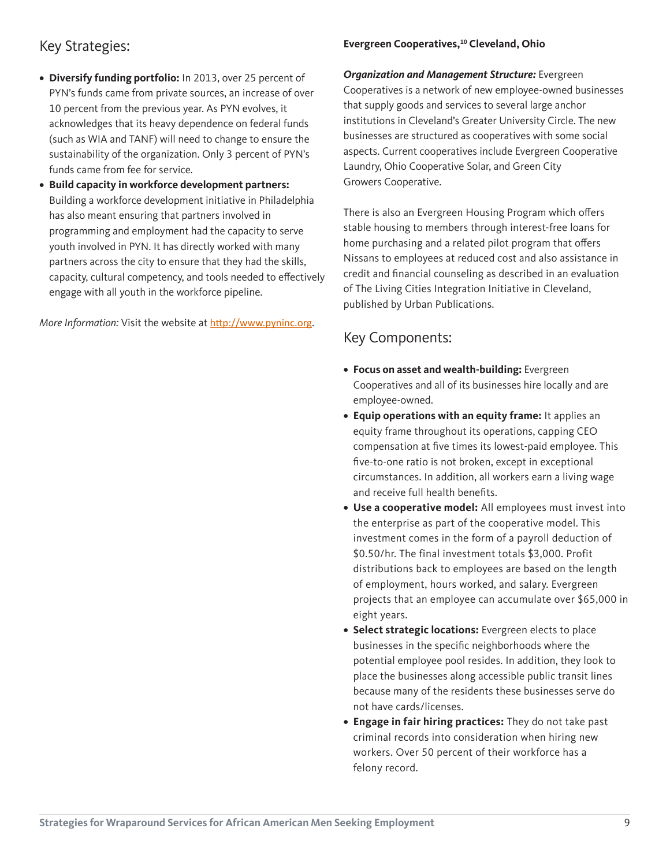### Key Strategies:

- **• Diversify funding portfolio:** In 2013, over 25 percent of PYN's funds came from private sources, an increase of over 10 percent from the previous year. As PYN evolves, it acknowledges that its heavy dependence on federal funds (such as WIA and TANF) will need to change to ensure the sustainability of the organization. Only 3 percent of PYN's funds came from fee for service.
- **• Build capacity in workforce development partners:** Building a workforce development initiative in Philadelphia has also meant ensuring that partners involved in programming and employment had the capacity to serve youth involved in PYN. It has directly worked with many partners across the city to ensure that they had the skills, capacity, cultural competency, and tools needed to effectively engage with all youth in the workforce pipeline.

*More Information:* Visit the website at <http://www.pyninc.org>.

#### **Evergreen Cooperatives,<sup>10</sup> Cleveland, Ohio**

*Organization and Management Structure:* Evergreen Cooperatives is a network of new employee-owned businesses that supply goods and services to several large anchor institutions in Cleveland's Greater University Circle. The new businesses are structured as cooperatives with some social aspects. Current cooperatives include Evergreen Cooperative Laundry, Ohio Cooperative Solar, and Green City Growers Cooperative.

There is also an Evergreen Housing Program which offers stable housing to members through interest-free loans for home purchasing and a related pilot program that offers Nissans to employees at reduced cost and also assistance in credit and financial counseling as described in an evaluation of The Living Cities Integration Initiative in Cleveland, published by Urban Publications.

### Key Components:

- **• Focus on asset and wealth-building:** Evergreen Cooperatives and all of its businesses hire locally and are employee-owned.
- **• Equip operations with an equity frame:** It applies an equity frame throughout its operations, capping CEO compensation at five times its lowest-paid employee. This five-to-one ratio is not broken, except in exceptional circumstances. In addition, all workers earn a living wage and receive full health benefits.
- **• Use a cooperative model:** All employees must invest into the enterprise as part of the cooperative model. This investment comes in the form of a payroll deduction of \$0.50/hr. The final investment totals \$3,000. Profit distributions back to employees are based on the length of employment, hours worked, and salary. Evergreen projects that an employee can accumulate over \$65,000 in eight years.
- **• Select strategic locations:** Evergreen elects to place businesses in the specific neighborhoods where the potential employee pool resides. In addition, they look to place the businesses along accessible public transit lines because many of the residents these businesses serve do not have cards/licenses.
- **• Engage in fair hiring practices:** They do not take past criminal records into consideration when hiring new workers. Over 50 percent of their workforce has a felony record.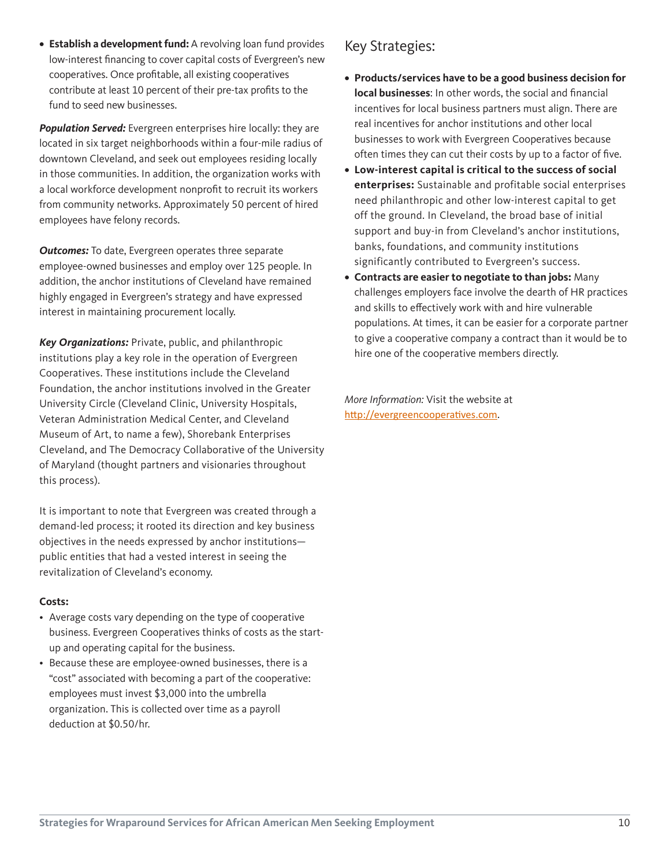**• Establish a development fund:** A revolving loan fund provides low-interest financing to cover capital costs of Evergreen's new cooperatives. Once profitable, all existing cooperatives contribute at least 10 percent of their pre-tax profits to the fund to seed new businesses.

*Population Served:* Evergreen enterprises hire locally: they are located in six target neighborhoods within a four-mile radius of downtown Cleveland, and seek out employees residing locally in those communities. In addition, the organization works with a local workforce development nonprofit to recruit its workers from community networks. Approximately 50 percent of hired employees have felony records.

**Outcomes:** To date, Evergreen operates three separate employee-owned businesses and employ over 125 people. In addition, the anchor institutions of Cleveland have remained highly engaged in Evergreen's strategy and have expressed interest in maintaining procurement locally.

*Key Organizations:* Private, public, and philanthropic institutions play a key role in the operation of Evergreen Cooperatives. These institutions include the Cleveland Foundation, the anchor institutions involved in the Greater University Circle (Cleveland Clinic, University Hospitals, Veteran Administration Medical Center, and Cleveland Museum of Art, to name a few), Shorebank Enterprises Cleveland, and The Democracy Collaborative of the University of Maryland (thought partners and visionaries throughout this process).

It is important to note that Evergreen was created through a demand-led process; it rooted its direction and key business objectives in the needs expressed by anchor institutions public entities that had a vested interest in seeing the revitalization of Cleveland's economy.

#### **Costs:**

- Average costs vary depending on the type of cooperative business. Evergreen Cooperatives thinks of costs as the startup and operating capital for the business.
- Because these are employee-owned businesses, there is a "cost" associated with becoming a part of the cooperative: employees must invest \$3,000 into the umbrella organization. This is collected over time as a payroll deduction at \$0.50/hr.

### Key Strategies:

- **• Products/services have to be a good business decision for local businesses**: In other words, the social and financial incentives for local business partners must align. There are real incentives for anchor institutions and other local businesses to work with Evergreen Cooperatives because often times they can cut their costs by up to a factor of five.
- **• Low-interest capital is critical to the success of social enterprises:** Sustainable and profitable social enterprises need philanthropic and other low-interest capital to get off the ground. In Cleveland, the broad base of initial support and buy-in from Cleveland's anchor institutions, banks, foundations, and community institutions significantly contributed to Evergreen's success.
- **• Contracts are easier to negotiate to than jobs:** Many challenges employers face involve the dearth of HR practices and skills to effectively work with and hire vulnerable populations. At times, it can be easier for a corporate partner to give a cooperative company a contract than it would be to hire one of the cooperative members directly.

*More Information:* Visit the website at <http://evergreencooperatives.com>.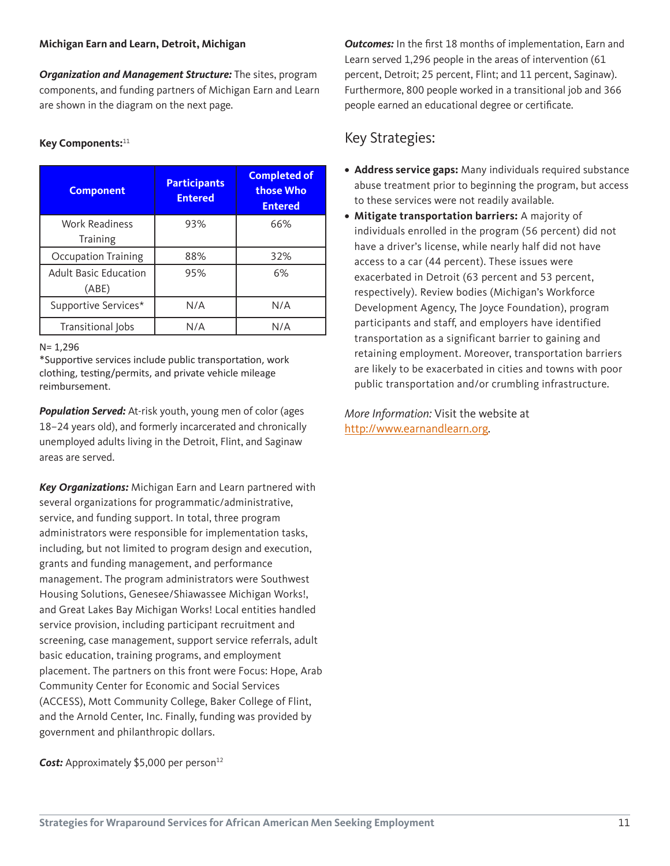#### **Michigan Earn and Learn, Detroit, Michigan**

*Organization and Management Structure:* The sites, program components, and funding partners of Michigan Earn and Learn are shown in the diagram on the next page.

#### **Key Components:**<sup>11</sup>

| <b>Component</b>                      | <b>Participants</b><br><b>Entered</b> | <b>Completed of</b><br>those Who<br><b>Entered</b> |
|---------------------------------------|---------------------------------------|----------------------------------------------------|
| <b>Work Readiness</b><br>Training     | 93%                                   | 66%                                                |
| <b>Occupation Training</b>            | 88%                                   | 32%                                                |
| <b>Adult Basic Education</b><br>(ABE) | 95%                                   | 6%                                                 |
| Supportive Services*                  | N/A                                   | N/A                                                |
| Transitional Jobs                     | N/A                                   | N/A                                                |

N= 1,296

\*Supportive services include public transportation, work clothing, testing/permits, and private vehicle mileage reimbursement.

*Population Served:* At-risk youth, young men of color (ages 18–24 years old), and formerly incarcerated and chronically unemployed adults living in the Detroit, Flint, and Saginaw areas are served.

*Key Organizations:* Michigan Earn and Learn partnered with several organizations for programmatic/administrative, service, and funding support. In total, three program administrators were responsible for implementation tasks, including, but not limited to program design and execution, grants and funding management, and performance management. The program administrators were Southwest Housing Solutions, Genesee/Shiawassee Michigan Works!, and Great Lakes Bay Michigan Works! Local entities handled service provision, including participant recruitment and screening, case management, support service referrals, adult basic education, training programs, and employment placement. The partners on this front were Focus: Hope, Arab Community Center for Economic and Social Services (ACCESS), Mott Community College, Baker College of Flint, and the Arnold Center, Inc. Finally, funding was provided by government and philanthropic dollars.

*Cost:* Approximately \$5,000 per person<sup>12</sup>

**Outcomes:** In the first 18 months of implementation, Earn and Learn served 1,296 people in the areas of intervention (61 percent, Detroit; 25 percent, Flint; and 11 percent, Saginaw). Furthermore, 800 people worked in a transitional job and 366 people earned an educational degree or certificate.

### Key Strategies:

- **• Address service gaps:** Many individuals required substance abuse treatment prior to beginning the program, but access to these services were not readily available.
- **• Mitigate transportation barriers:** A majority of individuals enrolled in the program (56 percent) did not have a driver's license, while nearly half did not have access to a car (44 percent). These issues were exacerbated in Detroit (63 percent and 53 percent, respectively). Review bodies (Michigan's Workforce Development Agency, The Joyce Foundation), program participants and staff, and employers have identified transportation as a significant barrier to gaining and retaining employment. Moreover, transportation barriers are likely to be exacerbated in cities and towns with poor public transportation and/or crumbling infrastructure.

*More Information:* Visit the website at <http://www.earnandlearn.org>.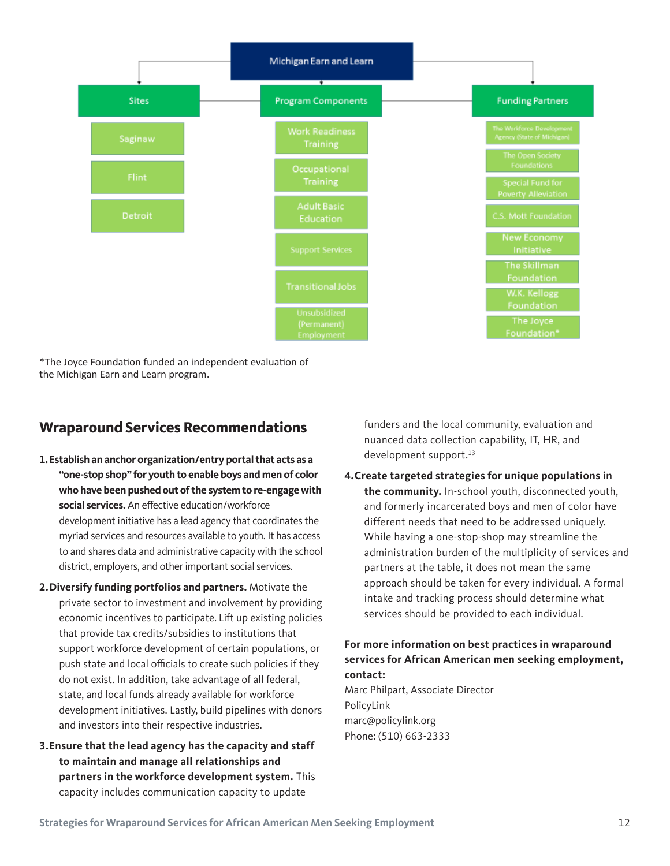

\*The Joyce Foundation funded an independent evaluation of the Michigan Earn and Learn program.

### **Wraparound Services Recommendations**

- **1.Establish an anchor organization/entry portal that acts as a "one-stop shop" for youth to enable boys and men of color who have been pushed out of the system to re-engage with social services.** An effective education/workforce development initiative has a lead agency that coordinates the myriad services and resources available to youth. It has access to and shares data and administrative capacity with the school district, employers, and other important social services.
- **2.Diversify funding portfolios and partners.** Motivate the private sector to investment and involvement by providing economic incentives to participate. Lift up existing policies that provide tax credits/subsidies to institutions that support workforce development of certain populations, or push state and local officials to create such policies if they do not exist. In addition, take advantage of all federal, state, and local funds already available for workforce development initiatives. Lastly, build pipelines with donors and investors into their respective industries.
- **3.Ensure that the lead agency has the capacity and staff to maintain and manage all relationships and partners in the workforce development system.** This capacity includes communication capacity to update

funders and the local community, evaluation and nuanced data collection capability, IT, HR, and development support.<sup>13</sup>

**4.Create targeted strategies for unique populations in the community.** In-school youth, disconnected youth, and formerly incarcerated boys and men of color have different needs that need to be addressed uniquely. While having a one-stop-shop may streamline the administration burden of the multiplicity of services and partners at the table, it does not mean the same approach should be taken for every individual. A formal intake and tracking process should determine what services should be provided to each individual.

#### **For more information on best practices in wraparound services for African American men seeking employment, contact:**

Marc Philpart, Associate Director PolicyLink [marc@policylink.org](mailto:marc@policylink.org) Phone: (510) 663-2333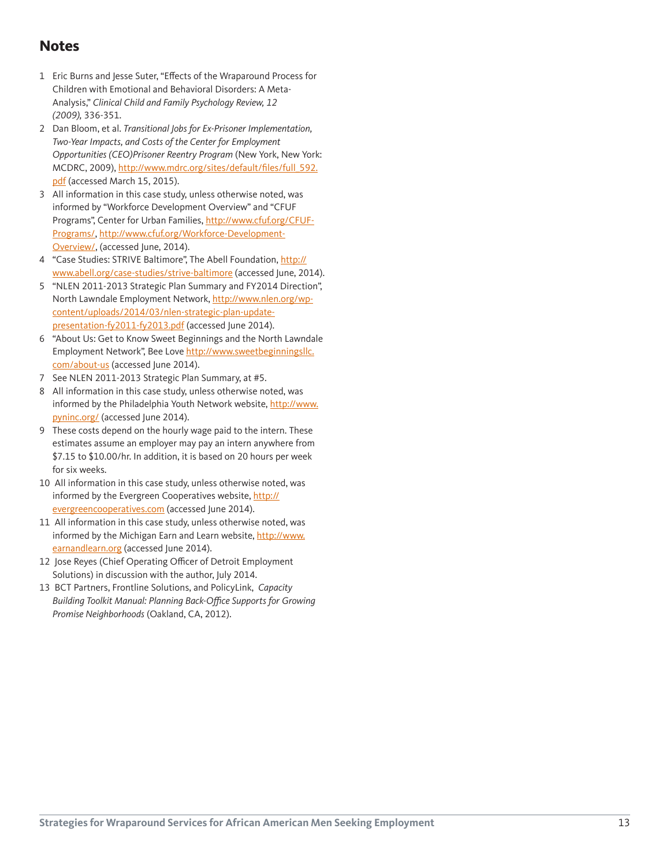### **Notes**

- 1 Eric Burns and Jesse Suter, "Effects of the Wraparound Process for Children with Emotional and Behavioral Disorders: A Meta-Analysis," *Clinical Child and Family Psychology Review, 12 (2009),* 336-351.
- 2 Dan Bloom, et al. *Transitional Jobs for Ex-Prisoner Implementation, Two-Year Impacts, and Costs of the Center for Employment Opportunities (CEO)Prisoner Reentry Program* (New York, New York: MCDRC, 2009), [http://www.mdrc.org/sites/default/files/full\\_592.](http://www.mdrc.org/sites/default/files/full_592.pdf) [pdf](http://www.mdrc.org/sites/default/files/full_592.pdf) (accessed March 15, 2015).
- 3 All information in this case study, unless otherwise noted, was informed by "Workforce Development Overview" and "CFUF Programs", Center for Urban Families, [http://www.cfuf.org/CFUF-](http://www.cfuf.org/CFUF-Programs/)[Programs/](http://www.cfuf.org/CFUF-Programs/), [http://www.cfuf.org/Workforce-Development-](http://www.cfuf.org/Workforce-Development-Overview/)[Overview/](http://www.cfuf.org/Workforce-Development-Overview/), (accessed June, 2014).
- 4 "Case Studies: STRIVE Baltimore", The Abell Foundation, [http://](http://www.abell.org/case-studies/strive-baltimore) [www.abell.org/case-studies/strive-baltimore](http://www.abell.org/case-studies/strive-baltimore) (accessed June, 2014).
- 5 "NLEN 2011-2013 Strategic Plan Summary and FY2014 Direction", North Lawndale Employment Network, [http://www.nlen.org/wp](http://www.nlen.org/wp-content/uploads/2014/03/nlen-strategic-plan-update-presentation-fy2011-fy2013.pdf)[content/uploads/2014/03/nlen-strategic-plan-update](http://www.nlen.org/wp-content/uploads/2014/03/nlen-strategic-plan-update-presentation-fy2011-fy2013.pdf)[presentation-fy2011-fy2013.pdf](http://www.nlen.org/wp-content/uploads/2014/03/nlen-strategic-plan-update-presentation-fy2011-fy2013.pdf) (accessed June 2014).
- 6 "About Us: Get to Know Sweet Beginnings and the North Lawndale Employment Network", Bee Love [http://www.sweetbeginningsllc.](http://www.sweetbeginningsllc.com/about-us) [com/about-us](http://www.sweetbeginningsllc.com/about-us) (accessed June 2014).
- 7 See NLEN 2011-2013 Strategic Plan Summary, at #5.
- 8 All information in this case study, unless otherwise noted, was informed by the Philadelphia Youth Network website, [http://www.](http://www.pyninc.org/) [pyninc.org/](http://www.pyninc.org/) (accessed June 2014).
- 9 These costs depend on the hourly wage paid to the intern. These estimates assume an employer may pay an intern anywhere from \$7.15 to \$10.00/hr. In addition, it is based on 20 hours per week for six weeks.
- 10 All information in this case study, unless otherwise noted, was informed by the Evergreen Cooperatives website, [http://](http://evergreencooperatives.com) [evergreencooperatives.com](http://evergreencooperatives.com) (accessed June 2014).
- 11 All information in this case study, unless otherwise noted, was informed by the Michigan Earn and Learn website, [http://www.](http://www.earnandlearn.org) [earnandlearn.org](http://www.earnandlearn.org) (accessed June 2014).
- 12 Jose Reyes (Chief Operating Officer of Detroit Employment Solutions) in discussion with the author, July 2014.
- 13 BCT Partners, Frontline Solutions, and PolicyLink, *Capacity*  Building Toolkit Manual: Planning Back-Office Supports for Growing *Promise Neighborhoods* (Oakland, CA, 2012).